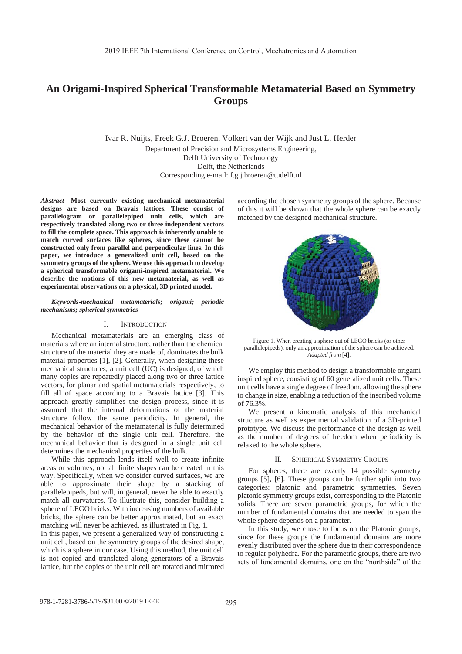# **An Origami-Inspired Spherical Transformable Metamaterial Based on Symmetry Groups**

Ivar R. Nuijts, Freek G.J. Broeren, Volkert van der Wijk and Just L. Herder Department of Precision and Microsystems Engineering, Delft University of Technology Delft, the Netherlands Corresponding e-mail: f.g.j.broeren@tudelft.nl

*Abstract***—Most currently existing mechanical metamaterial designs are based on Bravais lattices. These consist of parallelogram or parallelepiped unit cells, which are respectively translated along two or three independent vectors to fill the complete space. This approach is inherently unable to match curved surfaces like spheres, since these cannot be constructed only from parallel and perpendicular lines. In this paper, we introduce a generalized unit cell, based on the symmetry groups of the sphere. We use this approach to develop a spherical transformable origami-inspired metamaterial. We describe the motions of this new metamaterial, as well as experimental observations on a physical, 3D printed model.**

*Keywords-mechanical metamaterials; origami; periodic mechanisms; spherical symmetries*

### I. INTRODUCTION

Mechanical metamaterials are an emerging class of materials where an internal structure, rather than the chemical structure of the material they are made of, dominates the bulk material properties [1], [2]. Generally, when designing these mechanical structures, a unit cell (UC) is designed, of which many copies are repeatedly placed along two or three lattice vectors, for planar and spatial metamaterials respectively, to fill all of space according to a Bravais lattice [3]. This approach greatly simplifies the design process, since it is assumed that the internal deformations of the material structure follow the same periodicity. In general, the mechanical behavior of the metamaterial is fully determined by the behavior of the single unit cell. Therefore, the mechanical behavior that is designed in a single unit cell determines the mechanical properties of the bulk.

While this approach lends itself well to create infinite areas or volumes, not all finite shapes can be created in this way. Specifically, when we consider curved surfaces, we are able to approximate their shape by a stacking of parallelepipeds, but will, in general, never be able to exactly match all curvatures. To illustrate this, consider building a sphere of LEGO bricks. With increasing numbers of available bricks, the sphere can be better approximated, but an exact matching will never be achieved, as illustrated in Fig. 1.

In this paper, we present a generalized way of constructing a unit cell, based on the symmetry groups of the desired shape, which is a sphere in our case. Using this method, the unit cell is not copied and translated along generators of a Bravais lattice, but the copies of the unit cell are rotated and mirrored according the chosen symmetry groups of the sphere. Because of this it will be shown that the whole sphere can be exactly matched by the designed mechanical structure.



Figure 1. When creating a sphere out of LEGO bricks (or other parallelepipeds), only an approximation of the sphere can be achieved. *Adapted from* [4].

We employ this method to design a transformable origami inspired sphere, consisting of 60 generalized unit cells. These unit cells have a single degree of freedom, allowing the sphere to change in size, enabling a reduction of the inscribed volume of 76.3%.

We present a kinematic analysis of this mechanical structure as well as experimental validation of a 3D-printed prototype. We discuss the performance of the design as well as the number of degrees of freedom when periodicity is relaxed to the whole sphere.

### II. SPHERICAL SYMMETRY GROUPS

For spheres, there are exactly 14 possible symmetry groups [5], [6]. These groups can be further split into two categories: platonic and parametric symmetries. Seven platonic symmetry groups exist, corresponding to the Platonic solids. There are seven parametric groups, for which the number of fundamental domains that are needed to span the whole sphere depends on a parameter.

In this study, we chose to focus on the Platonic groups, since for these groups the fundamental domains are more evenly distributed over the sphere due to their correspondence to regular polyhedra. For the parametric groups, there are two sets of fundamental domains, one on the "northside" of the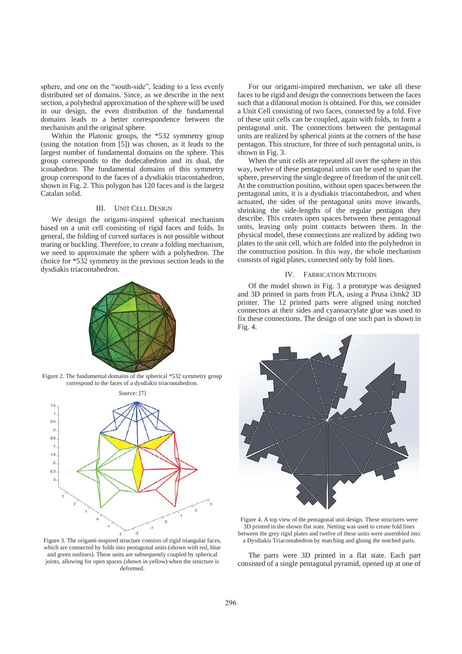sphere, and one on the "south-side", leading to a less evenly distributed set of domains. Since, as we describe in the next section, a polyhedral approximation of the sphere will be used in our design, the even distribution of the fundamental domains leads to a better correspondence between the mechanism and the original sphere.

Within the Platonic groups, the \*532 symmetry group (using the notation from [5]) was chosen, as it leads to the largest number of fundamental domains on the sphere. This group corresponds to the dodecahedron and its dual, the icosahedron. The fundamental domains of this symmetry group correspond to the faces of a dysdiakis triacontahedron, shown in Fig. 2. This polygon has 120 faces and is the largest Catalan solid.

## III. UNIT CELL DESIGN

We design the origami-inspired spherical mechanism based on a unit cell consisting of rigid faces and folds. In general, the folding of curved surfaces is not possible without tearing or buckling. Therefore, to create a folding mechanism, we need to approximate the sphere with a polyhedron. The choice for \*532 symmetry in the previous section leads to the dysdiakis triacontahedron.



Figure 2. The fundamental domains of the spherical \*532 symmetry group correspond to the faces of a dysdiakis triacontahedron.



Figure 3. The origami-inspired structure consists of rigid triangular faces, which are connected by folds into pentagonal units (shown with red, blue and green outlines). These units are subsequently coupled by spherical joints, allowing for open spaces (shown in yellow) when the structure is deformed.

For our origami-inspired mechanism, we take all these faces to be rigid and design the connections between the faces such that a dilational motion is obtained. For this, we consider a Unit Cell consisting of two faces, connected by a fold. Five of these unit cells can be coupled, again with folds, to form a pentagonal unit. The connections between the pentagonal units are realized by spherical joints at the corners of the base pentagon. This structure, for three of such pentagonal units, is shown in Fig. 3.

When the unit cells are repeated all over the sphere in this way, twelve of these pentagonal units can be used to span the sphere, preserving the single degree of freedom of the unit cell. At the construction position, without open spaces between the pentagonal units, it is a dysdiakis triacontahedron, and when actuated, the sides of the pentagonal units move inwards, shrinking the side-lengths of the regular pentagon they describe. This creates open spaces between these pentagonal units, leaving only point contacts between them. In the physical model, these connections are realized by adding two plates to the unit cell, which are folded into the polyhedron in the construction position. In this way, the whole mechanism consists of rigid plates, connected only by fold lines.

## IV. FABRICATION METHODS

Of the model shown in Fig. 3 a prototype was designed and 3D printed in parts from PLA, using a Prusa i3mk2 3D printer. The 12 printed parts were aligned using notched connectors at their sides and cyanoacrylate glue was used to fix these connections. The design of one such part is shown in Fig. 4.



Figure 4. A top view of the pentagonal unit design. These structures were 3D printed in the shown flat state. Netting was used to create fold lines between the grey rigid plates and twelve of these units were assembled into a Dysdiakis Triacontahedron by matching and gluing the notched parts.

The parts were 3D printed in a flat state. Each part consisted of a single pentagonal pyramid, opened up at one of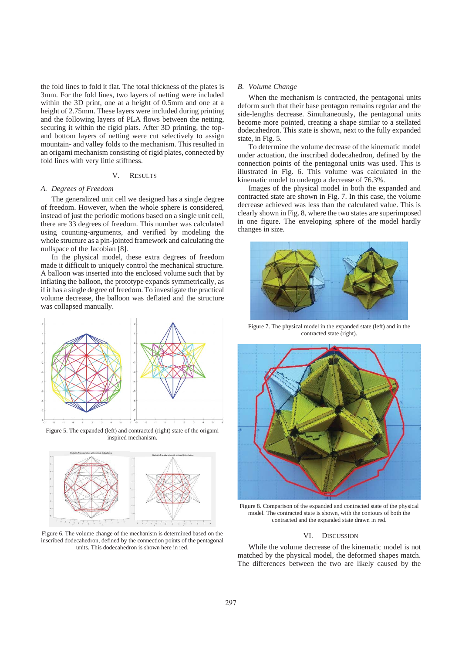the fold lines to fold it flat. The total thickness of the plates is 3mm. For the fold lines, two layers of netting were included within the 3D print, one at a height of 0.5mm and one at a height of 2.75mm. These layers were included during printing and the following layers of PLA flows between the netting, securing it within the rigid plats. After 3D printing, the topand bottom layers of netting were cut selectively to assign mountain- and valley folds to the mechanism. This resulted in an origami mechanism consisting of rigid plates, connected by fold lines with very little stiffness.

## V. RESULTS

#### *A. Degrees of Freedom*

The generalized unit cell we designed has a single degree of freedom. However, when the whole sphere is considered, instead of just the periodic motions based on a single unit cell, there are 33 degrees of freedom. This number was calculated using counting-arguments, and verified by modeling the whole structure as a pin-jointed framework and calculating the nullspace of the Jacobian [8].

In the physical model, these extra degrees of freedom made it difficult to uniquely control the mechanical structure. A balloon was inserted into the enclosed volume such that by inflating the balloon, the prototype expands symmetrically, as if it has a single degree of freedom. To investigate the practical volume decrease, the balloon was deflated and the structure was collapsed manually.



Figure 5. The expanded (left) and contracted (right) state of the origami inspired mechanism.



Figure 6. The volume change of the mechanism is determined based on the inscribed dodecahedron, defined by the connection points of the pentagonal units. This dodecahedron is shown here in red.

## *B. Volume Change*

When the mechanism is contracted, the pentagonal units deform such that their base pentagon remains regular and the side-lengths decrease. Simultaneously, the pentagonal units become more pointed, creating a shape similar to a stellated dodecahedron. This state is shown, next to the fully expanded state, in Fig. 5.

To determine the volume decrease of the kinematic model under actuation, the inscribed dodecahedron, defined by the connection points of the pentagonal units was used. This is illustrated in Fig. 6. This volume was calculated in the kinematic model to undergo a decrease of 76.3%.

Images of the physical model in both the expanded and contracted state are shown in Fig. 7. In this case, the volume decrease achieved was less than the calculated value. This is clearly shown in Fig. 8, where the two states are superimposed in one figure. The enveloping sphere of the model hardly changes in size.



Figure 7. The physical model in the expanded state (left) and in the contracted state (right).



Figure 8. Comparison of the expanded and contracted state of the physical model. The contracted state is shown, with the contours of both the contracted and the expanded state drawn in red.

#### VI. DISCUSSION

While the volume decrease of the kinematic model is not matched by the physical model, the deformed shapes match. The differences between the two are likely caused by the